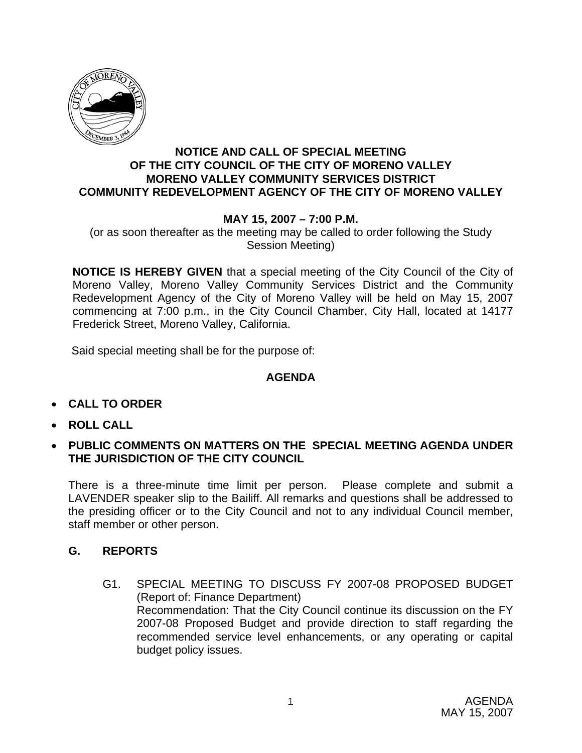

### **NOTICE AND CALL OF SPECIAL MEETING OF THE CITY COUNCIL OF THE CITY OF MORENO VALLEY MORENO VALLEY COMMUNITY SERVICES DISTRICT COMMUNITY REDEVELOPMENT AGENCY OF THE CITY OF MORENO VALLEY**

# **MAY 15, 2007 – 7:00 P.M.**

(or as soon thereafter as the meeting may be called to order following the Study Session Meeting)

**NOTICE IS HEREBY GIVEN** that a special meeting of the City Council of the City of Moreno Valley, Moreno Valley Community Services District and the Community Redevelopment Agency of the City of Moreno Valley will be held on May 15, 2007 commencing at 7:00 p.m., in the City Council Chamber, City Hall, located at 14177 Frederick Street, Moreno Valley, California.

Said special meeting shall be for the purpose of:

## **AGENDA**

- **CALL TO ORDER**
- **ROLL CALL**
- **PUBLIC COMMENTS ON MATTERS ON THE SPECIAL MEETING AGENDA UNDER THE JURISDICTION OF THE CITY COUNCIL**

There is a three-minute time limit per person. Please complete and submit a LAVENDER speaker slip to the Bailiff. All remarks and questions shall be addressed to the presiding officer or to the City Council and not to any individual Council member, staff member or other person.

### **G. REPORTS**

G1. SPECIAL MEETING TO DISCUSS FY 2007-08 PROPOSED BUDGET (Report of: Finance Department) Recommendation: That the City Council continue its discussion on the FY 2007-08 Proposed Budget and provide direction to staff regarding the recommended service level enhancements, or any operating or capital budget policy issues.